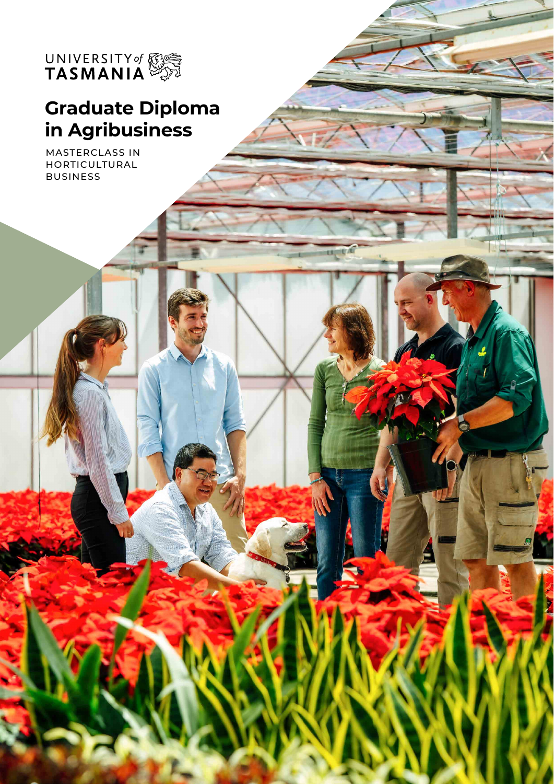

# **Graduate Diploma in Agribusiness**

mit A

MASTERCLASS IN HORTICULTURAL BUSINESS

2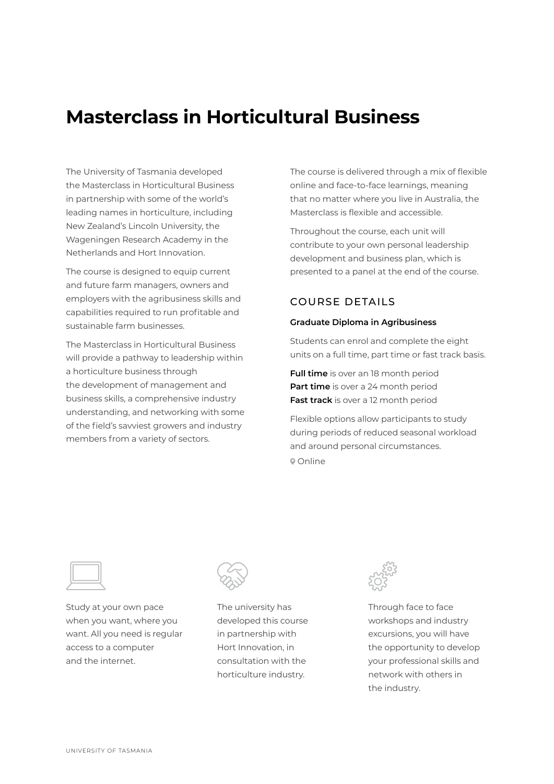## **Masterclass in Horticultural Business**

The University of Tasmania developed the Masterclass in Horticultural Business in partnership with some of the world's leading names in horticulture, including New Zealand's Lincoln University, the Wageningen Research Academy in the Netherlands and Hort Innovation.

The course is designed to equip current and future farm managers, owners and employers with the agribusiness skills and capabilities required to run profitable and sustainable farm businesses.

The Masterclass in Horticultural Business will provide a pathway to leadership within a horticulture business through the development of management and business skills, a comprehensive industry understanding, and networking with some of the field's savviest growers and industry members from a variety of sectors.

The course is delivered through a mix of flexible online and face-to-face learnings, meaning that no matter where you live in Australia, the Masterclass is flexible and accessible.

Throughout the course, each unit will contribute to your own personal leadership development and business plan, which is presented to a panel at the end of the course.

### COURSE DETAILS

#### **Graduate Diploma in Agribusiness**

Students can enrol and complete the eight units on a full time, part time or fast track basis.

**Full time** is over an 18 month period **Part time** is over a 24 month period **Fast track** is over a 12 month period

Flexible options allow participants to study during periods of reduced seasonal workload and around personal circumstances. Online



Study at your own pace when you want, where you want. All you need is regular access to a computer and the internet.



The university has developed this course in partnership with Hort Innovation, in consultation with the horticulture industry.



Through face to face workshops and industry excursions, you will have the opportunity to develop your professional skills and network with others in the industry.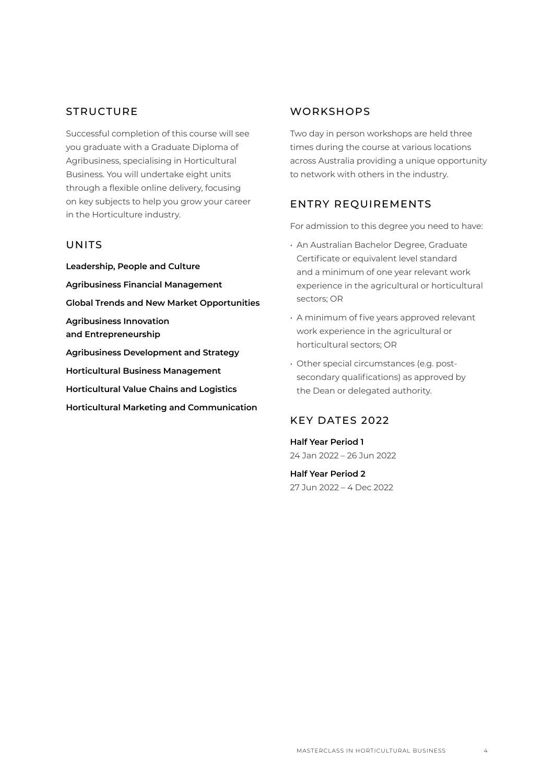#### **STRUCTURE**

Successful completion of this course will see you graduate with a Graduate Diploma of Agribusiness, specialising in Horticultural Business. You will undertake eight units through a flexible online delivery, focusing on key subjects to help you grow your career in the Horticulture industry.

#### UNITS

**Leadership, People and Culture Agribusiness Financial Management Global Trends and New Market Opportunities Agribusiness Innovation and Entrepreneurship Agribusiness Development and Strategy Horticultural Business Management Horticultural Value Chains and Logistics Horticultural Marketing and Communication**

#### **WORKSHOPS**

Two day in person workshops are held three times during the course at various locations across Australia providing a unique opportunity to network with others in the industry.

#### ENTRY REQUIREMENTS

For admission to this degree you need to have:

- An Australian Bachelor Degree, Graduate Certificate or equivalent level standard and a minimum of one year relevant work experience in the agricultural or horticultural sectors; OR
- A minimum of five years approved relevant work experience in the agricultural or horticultural sectors; OR
- Other special circumstances (e.g. post‐ secondary qualifications) as approved by the Dean or delegated authority.

#### KEY DATES 2022

**Half Year Period 1** 24 Jan 2022 – 26 Jun 2022

**Half Year Period 2** 27 Jun 2022 – 4 Dec 2022